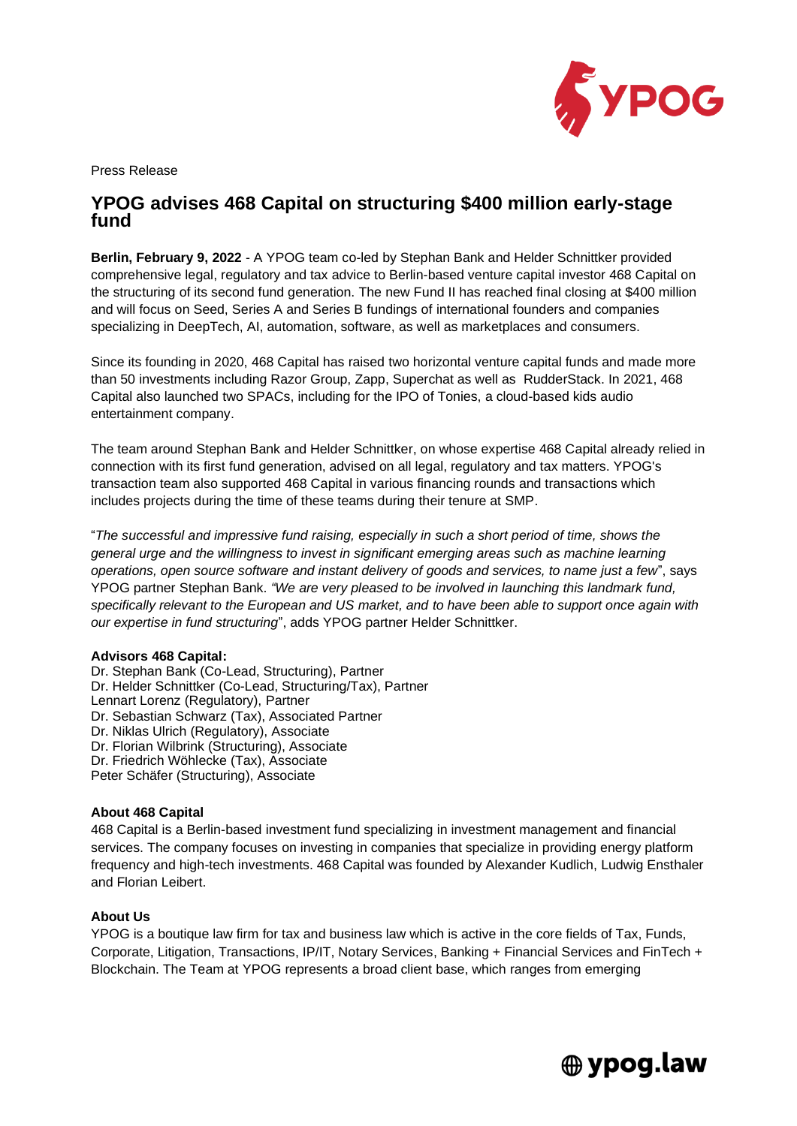

Press Release

# **YPOG advises 468 Capital on structuring \$400 million early-stage fund**

**Berlin, February 9, 2022** - A YPOG team co-led by Stephan Bank and Helder Schnittker provided comprehensive legal, regulatory and tax advice to Berlin-based venture capital investor 468 Capital on the structuring of its second fund generation. The new Fund II has reached final closing at \$400 million and will focus on Seed, Series A and Series B fundings of international founders and companies specializing in DeepTech, AI, automation, software, as well as marketplaces and consumers.

Since its founding in 2020, 468 Capital has raised two horizontal venture capital funds and made more than 50 investments including Razor Group, Zapp, Superchat as well as RudderStack. In 2021, 468 Capital also launched two SPACs, including for the IPO of Tonies, a cloud-based kids audio entertainment company.

The team around Stephan Bank and Helder Schnittker, on whose expertise 468 Capital already relied in connection with its first fund generation, advised on all legal, regulatory and tax matters. YPOG's transaction team also supported 468 Capital in various financing rounds and transactions which includes projects during the time of these teams during their tenure at SMP.

"*The successful and impressive fund raising, especially in such a short period of time, shows the general urge and the willingness to invest in significant emerging areas such as machine learning operations, open source software and instant delivery of goods and services, to name just a few*", says YPOG partner Stephan Bank. *"We are very pleased to be involved in launching this landmark fund, specifically relevant to the European and US market, and to have been able to support once again with our expertise in fund structuring*", adds YPOG partner Helder Schnittker.

#### **Advisors 468 Capital:**

Dr. Stephan Bank (Co-Lead, Structuring), Partner [Dr. Helder Schnittker](https://www.ypog.law/en/team/dr-helder-schnittker) (Co-Lead, Structuring/Tax), Partner [Lennart Lorenz](https://www.ypog.law/en/team/lennart-lorenz) (Regulatory), Partner [Dr. Sebastian Schwarz](https://www.ypog.law/en/team/dr-sebastian-schwarz) (Tax), Associated Partner [Dr. Niklas Ulrich](https://www.ypog.law/en/team/dr-niklas-ulrich) (Regulatory), Associate [Dr. Florian Wilbrink](https://www.ypog.law/en/team/dr-florian-wilbrink) (Structuring), Associate [Dr. Friedrich Wöhlecke](https://www.ypog.law/en/team/dr-friedrich-w%C3%B6hlecke) (Tax), Associate [Peter Schäfer](https://www.ypog.law/en/team/peter-sch%C3%A4fer) (Structuring), Associate

## **About 468 Capital**

468 Capital is a Berlin-based investment fund specializing in investment management and financial services. The company focuses on investing in companies that specialize in providing energy platform frequency and high-tech investments. 468 Capital was founded by Alexander Kudlich, Ludwig Ensthaler and Florian Leibert.

### **About Us**

YPOG is a boutique law firm for tax and business law which is active in the core fields of Tax, Funds, Corporate, Litigation, Transactions, IP/IT, Notary Services, Banking + Financial Services and FinTech + Blockchain. The Team at YPOG represents a broad client base, which ranges from emerging